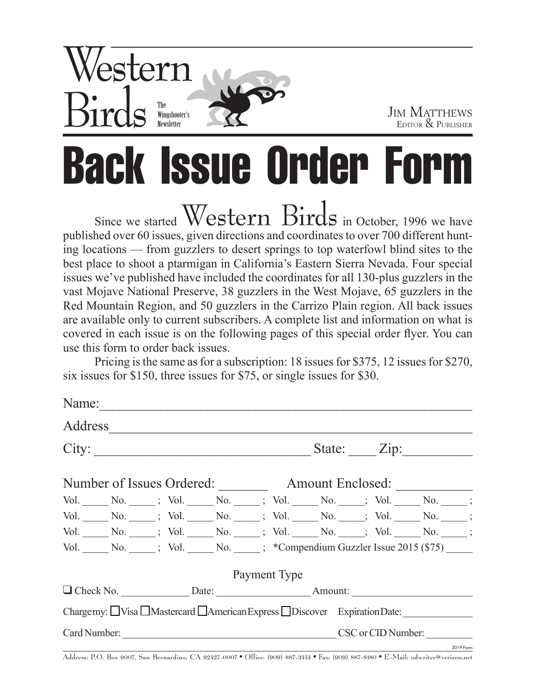

2019 Form

# Back Issue Order Form

Since we started  $Western$   $Birds$  in October, 1996 we have published over 60 issues, given directions and coordinates to over 700 different hunting locations — from guzzlers to desert springs to top waterfowl blind sites to the best place to shoot a ptarmigan in California's Eastern Sierra Nevada. Four special issues we've published have included the coordinates for all 130-plus guzzlers in the vast Mojave National Preserve, 38 guzzlers in the West Mojave, 65 guzzlers in the Red Mountain Region, and 50 guzzlers in the Carrizo Plain region. All back issues are available only to current subscribers. A complete list and information on what is covered in each issue is on the following pages of this special order flyer. You can use this form to order back issues.

Pricing is the same as for a subscription: 18 issues for \$375, 12 issues for \$270, six issues for \$150, three issues for \$75, or single issues for \$30.

|  | Name: $\frac{1}{\sqrt{1-\frac{1}{2}}\cdot\frac{1}{\sqrt{1-\frac{1}{2}}}}$ |                                                                        |                    |  |              |  |  |  |  |  |
|--|---------------------------------------------------------------------------|------------------------------------------------------------------------|--------------------|--|--------------|--|--|--|--|--|
|  | Address                                                                   |                                                                        |                    |  |              |  |  |  |  |  |
|  |                                                                           |                                                                        | State: <u>Zip:</u> |  |              |  |  |  |  |  |
|  |                                                                           |                                                                        |                    |  |              |  |  |  |  |  |
|  |                                                                           | Vol. No. : Vol. No. : Vol. No. No. No. No. No. No. No. No. 3           |                    |  |              |  |  |  |  |  |
|  |                                                                           |                                                                        |                    |  |              |  |  |  |  |  |
|  |                                                                           |                                                                        |                    |  |              |  |  |  |  |  |
|  |                                                                           |                                                                        |                    |  |              |  |  |  |  |  |
|  |                                                                           |                                                                        |                    |  | Payment Type |  |  |  |  |  |
|  |                                                                           |                                                                        |                    |  |              |  |  |  |  |  |
|  |                                                                           | Chargemy: Visa Mastercard Mamerican Express DDiscover Expiration Date: |                    |  |              |  |  |  |  |  |
|  |                                                                           |                                                                        |                    |  |              |  |  |  |  |  |

Address: P.O. Box 9007, San Bernardino, CA 92427-0007 • Office: (909) 887-3444 • Fax: (909) 887-8180 • E-Mail: odwriter@verizon.net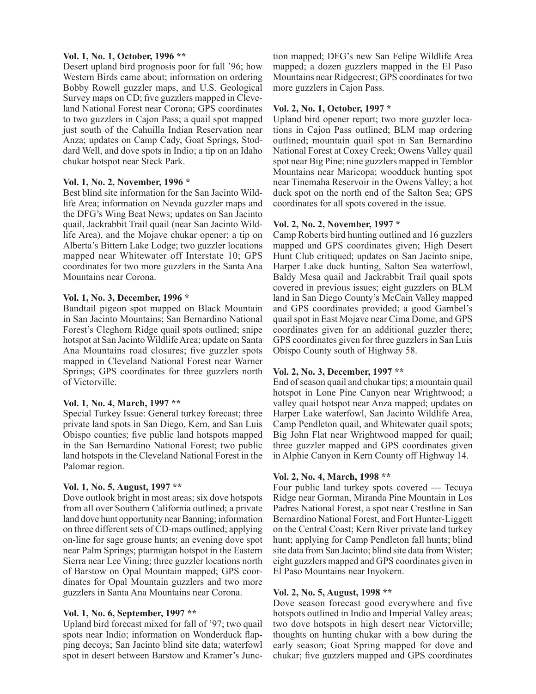#### **Vol. 1, No. 1, October, 1996 \*\***

Desert upland bird prognosis poor for fall '96; how Western Birds came about; information on ordering Bobby Rowell guzzler maps, and U.S. Geological Survey maps on CD; five guzzlers mapped in Cleveland National Forest near Corona; GPS coordinates to two guzzlers in Cajon Pass; a quail spot mapped just south of the Cahuilla Indian Reservation near Anza; updates on Camp Cady, Goat Springs, Stoddard Well, and dove spots in Indio; a tip on an Idaho chukar hotspot near Steck Park.

#### **Vol. 1, No. 2, November, 1996 \***

Best blind site information for the San Jacinto Wildlife Area; information on Nevada guzzler maps and the DFG's Wing Beat News; updates on San Jacinto quail, Jackrabbit Trail quail (near San Jacinto Wildlife Area), and the Mojave chukar opener; a tip on Alberta's Bittern Lake Lodge; two guzzler locations mapped near Whitewater off Interstate 10; GPS coordinates for two more guzzlers in the Santa Ana Mountains near Corona.

#### **Vol. 1, No. 3, December, 1996 \***

Bandtail pigeon spot mapped on Black Mountain in San Jacinto Mountains; San Bernardino National Forest's Cleghorn Ridge quail spots outlined; snipe hotspot at San Jacinto Wildlife Area; update on Santa Ana Mountains road closures; five guzzler spots mapped in Cleveland National Forest near Warner Springs; GPS coordinates for three guzzlers north of Victorville.

# **Vol. 1, No. 4, March, 1997 \*\***

Special Turkey Issue: General turkey forecast; three private land spots in San Diego, Kern, and San Luis Obispo counties; five public land hotspots mapped in the San Bernardino National Forest; two public land hotspots in the Cleveland National Forest in the Palomar region.

# **Vol. 1, No. 5, August, 1997 \*\***

Dove outlook bright in most areas; six dove hotspots from all over Southern California outlined; a private land dove hunt opportunity near Banning; information on three different sets of CD-maps outlined; applying on-line for sage grouse hunts; an evening dove spot near Palm Springs; ptarmigan hotspot in the Eastern Sierra near Lee Vining; three guzzler locations north of Barstow on Opal Mountain mapped; GPS coordinates for Opal Mountain guzzlers and two more guzzlers in Santa Ana Mountains near Corona.

#### **Vol. 1, No. 6, September, 1997 \*\***

Upland bird forecast mixed for fall of '97; two quail spots near Indio; information on Wonderduck flapping decoys; San Jacinto blind site data; waterfowl spot in desert between Barstow and Kramer's Junc-

tion mapped; DFG's new San Felipe Wildlife Area mapped; a dozen guzzlers mapped in the El Paso Mountains near Ridgecrest; GPS coordinates for two more guzzlers in Cajon Pass.

#### **Vol. 2, No. 1, October, 1997 \***

Upland bird opener report; two more guzzler locations in Cajon Pass outlined; BLM map ordering outlined; mountain quail spot in San Bernardino National Forest at Coxey Creek; Owens Valley quail spot near Big Pine; nine guzzlers mapped in Temblor Mountains near Maricopa; woodduck hunting spot near Tinemaha Reservoir in the Owens Valley; a hot duck spot on the north end of the Salton Sea; GPS coordinates for all spots covered in the issue.

#### **Vol. 2, No. 2, November, 1997 \***

Camp Roberts bird hunting outlined and 16 guzzlers mapped and GPS coordinates given; High Desert Hunt Club critiqued; updates on San Jacinto snipe, Harper Lake duck hunting, Salton Sea waterfowl, Baldy Mesa quail and Jackrabbit Trail quail spots covered in previous issues; eight guzzlers on BLM land in San Diego County's McCain Valley mapped and GPS coordinates provided; a good Gambel's quail spot in East Mojave near Cima Dome, and GPS coordinates given for an additional guzzler there; GPS coordinates given for three guzzlers in San Luis Obispo County south of Highway 58.

# **Vol. 2, No. 3, December, 1997 \*\***

End of season quail and chukar tips; a mountain quail hotspot in Lone Pine Canyon near Wrightwood; a valley quail hotspot near Anza mapped; updates on Harper Lake waterfowl, San Jacinto Wildlife Area, Camp Pendleton quail, and Whitewater quail spots; Big John Flat near Wrightwood mapped for quail; three guzzler mapped and GPS coordinates given in Alphie Canyon in Kern County off Highway 14.

# **Vol. 2, No. 4, March, 1998 \*\***

Four public land turkey spots covered — Tecuya Ridge near Gorman, Miranda Pine Mountain in Los Padres National Forest, a spot near Crestline in San Bernardino National Forest, and Fort Hunter-Liggett on the Central Coast; Kern River private land turkey hunt; applying for Camp Pendleton fall hunts; blind site data from San Jacinto; blind site data from Wister; eight guzzlers mapped and GPS coordinates given in El Paso Mountains near Inyokern.

# **Vol. 2, No. 5, August, 1998 \*\***

Dove season forecast good everywhere and five hotspots outlined in Indio and Imperial Valley areas; two dove hotspots in high desert near Victorville; thoughts on hunting chukar with a bow during the early season; Goat Spring mapped for dove and chukar; five guzzlers mapped and GPS coordinates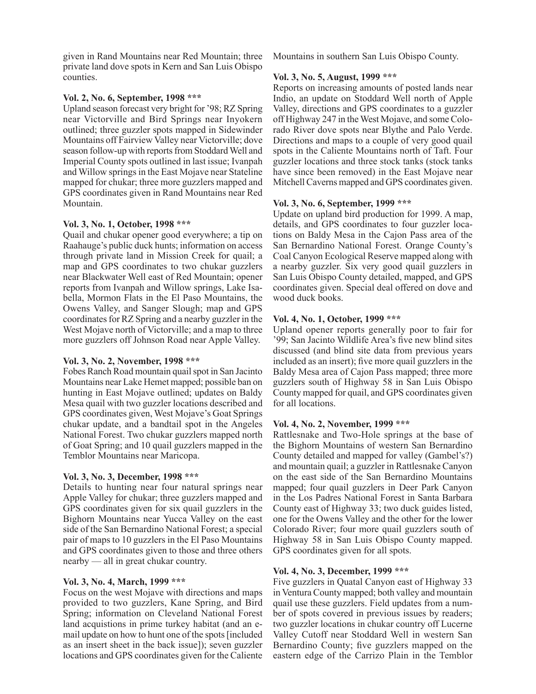given in Rand Mountains near Red Mountain; three private land dove spots in Kern and San Luis Obispo counties.

#### **Vol. 2, No. 6, September, 1998 \*\*\***

Upland season forecast very bright for '98; RZ Spring near Victorville and Bird Springs near Inyokern outlined; three guzzler spots mapped in Sidewinder Mountains off Fairview Valley near Victorville; dove season follow-up with reports from Stoddard Well and Imperial County spots outlined in last issue; Ivanpah and Willow springs in the East Mojave near Stateline mapped for chukar; three more guzzlers mapped and GPS coordinates given in Rand Mountains near Red Mountain.

#### **Vol. 3, No. 1, October, 1998 \*\*\***

Quail and chukar opener good everywhere; a tip on Raahauge's public duck hunts; information on access through private land in Mission Creek for quail; a map and GPS coordinates to two chukar guzzlers near Blackwater Well east of Red Mountain; opener reports from Ivanpah and Willow springs, Lake Isabella, Mormon Flats in the El Paso Mountains, the Owens Valley, and Sanger Slough; map and GPS coordinates for RZ Spring and a nearby guzzler in the West Mojave north of Victorville; and a map to three more guzzlers off Johnson Road near Apple Valley.

# **Vol. 3, No. 2, November, 1998 \*\*\***

Fobes Ranch Road mountain quail spot in San Jacinto Mountains near Lake Hemet mapped; possible ban on hunting in East Mojave outlined; updates on Baldy Mesa quail with two guzzler locations described and GPS coordinates given, West Mojave's Goat Springs chukar update, and a bandtail spot in the Angeles National Forest. Two chukar guzzlers mapped north of Goat Spring; and 10 quail guzzlers mapped in the Temblor Mountains near Maricopa.

# **Vol. 3, No. 3, December, 1998 \*\*\***

Details to hunting near four natural springs near Apple Valley for chukar; three guzzlers mapped and GPS coordinates given for six quail guzzlers in the Bighorn Mountains near Yucca Valley on the east side of the San Bernardino National Forest; a special pair of maps to 10 guzzlers in the El Paso Mountains and GPS coordinates given to those and three others nearby — all in great chukar country.

# **Vol. 3, No. 4, March, 1999 \*\*\***

Focus on the west Mojave with directions and maps provided to two guzzlers, Kane Spring, and Bird Spring; information on Cleveland National Forest land acquistions in prime turkey habitat (and an email update on how to hunt one of the spots [included as an insert sheet in the back issue]); seven guzzler locations and GPS coordinates given for the Caliente

Mountains in southern San Luis Obispo County.

# **Vol. 3, No. 5, August, 1999 \*\*\***

Reports on increasing amounts of posted lands near Indio, an update on Stoddard Well north of Apple Valley, directions and GPS coordinates to a guzzler off Highway 247 in the West Mojave, and some Colorado River dove spots near Blythe and Palo Verde. Directions and maps to a couple of very good quail spots in the Caliente Mountains north of Taft. Four guzzler locations and three stock tanks (stock tanks have since been removed) in the East Mojave near Mitchell Caverns mapped and GPS coordinates given.

# **Vol. 3, No. 6, September, 1999 \*\*\***

Update on upland bird production for 1999. A map, details, and GPS coordinates to four guzzler locations on Baldy Mesa in the Cajon Pass area of the San Bernardino National Forest. Orange County's Coal Canyon Ecological Reserve mapped along with a nearby guzzler. Six very good quail guzzlers in San Luis Obispo County detailed, mapped, and GPS coordinates given. Special deal offered on dove and wood duck books.

# **Vol. 4, No. 1, October, 1999 \*\*\***

Upland opener reports generally poor to fair for '99; San Jacinto Wildlife Area's five new blind sites discussed (and blind site data from previous years included as an insert); five more quail guzzlers in the Baldy Mesa area of Cajon Pass mapped; three more guzzlers south of Highway 58 in San Luis Obispo County mapped for quail, and GPS coordinates given for all locations.

#### **Vol. 4, No. 2, November, 1999 \*\*\***

Rattlesnake and Two-Hole springs at the base of the Bighorn Mountains of western San Bernardino County detailed and mapped for valley (Gambel's?) and mountain quail; a guzzler in Rattlesnake Canyon on the east side of the San Bernardino Mountains mapped; four quail guzzlers in Deer Park Canyon in the Los Padres National Forest in Santa Barbara County east of Highway 33; two duck guides listed, one for the Owens Valley and the other for the lower Colorado River; four more quail guzzlers south of Highway 58 in San Luis Obispo County mapped. GPS coordinates given for all spots.

# **Vol. 4, No. 3, December, 1999 \*\*\***

Five guzzlers in Quatal Canyon east of Highway 33 in Ventura County mapped; both valley and mountain quail use these guzzlers. Field updates from a number of spots covered in previous issues by readers; two guzzler locations in chukar country off Lucerne Valley Cutoff near Stoddard Well in western San Bernardino County; five guzzlers mapped on the eastern edge of the Carrizo Plain in the Temblor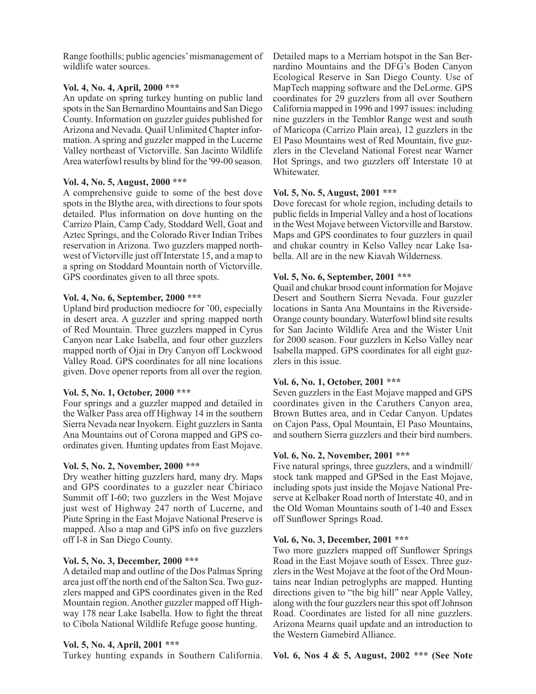Range foothills; public agencies' mismanagement of wildlife water sources.

# **Vol. 4, No. 4, April, 2000 \*\*\***

An update on spring turkey hunting on public land spots in the San Bernardino Mountains and San Diego County. Information on guzzler guides published for Arizona and Nevada. Quail Unlimited Chapter information. A spring and guzzler mapped in the Lucerne Valley northeast of Victorville. San Jacinto Wildlife Area waterfowl results by blind for the '99-00 season.

# **Vol. 4, No. 5, August, 2000 \*\*\***

A comprehensive guide to some of the best dove spots in the Blythe area, with directions to four spots detailed. Plus information on dove hunting on the Carrizo Plain, Camp Cady, Stoddard Well, Goat and Aztec Springs, and the Colorado River Indian Tribes reservation in Arizona. Two guzzlers mapped northwest of Victorville just off Interstate 15, and a map to a spring on Stoddard Mountain north of Victorville. GPS coordinates given to all three spots.

# **Vol. 4, No. 6, September, 2000 \*\*\***

Upland bird production mediocre for '00, especially in desert area. A guzzler and spring mapped north of Red Mountain. Three guzzlers mapped in Cyrus Canyon near Lake Isabella, and four other guzzlers mapped north of Ojai in Dry Canyon off Lockwood Valley Road. GPS coordinates for all nine locations given. Dove opener reports from all over the region.

# **Vol. 5, No. 1, October, 2000 \*\*\***

Four springs and a guzzler mapped and detailed in the Walker Pass area off Highway 14 in the southern Sierra Nevada near Inyokern. Eight guzzlers in Santa Ana Mountains out of Corona mapped and GPS coordinates given. Hunting updates from East Mojave.

# **Vol. 5, No. 2, November, 2000 \*\*\***

Dry weather hitting guzzlers hard, many dry. Maps and GPS coordinates to a guzzler near Chiriaco Summit off I-60; two guzzlers in the West Mojave just west of Highway 247 north of Lucerne, and Piute Spring in the East Mojave National Preserve is mapped. Also a map and GPS info on five guzzlers off I-8 in San Diego County.

# **Vol. 5, No. 3, December, 2000 \*\*\***

A detailed map and outline of the Dos Palmas Spring area just off the north end of the Salton Sea. Two guzzlers mapped and GPS coordinates given in the Red Mountain region. Another guzzler mapped off Highway 178 near Lake Isabella. How to fight the threat to Cibola National Wildlife Refuge goose hunting.

# **Vol. 5, No. 4, April, 2001 \*\*\***

Turkey hunting expands in Southern California.

Detailed maps to a Merriam hotspot in the San Bernardino Mountains and the DFG's Boden Canyon Ecological Reserve in San Diego County. Use of MapTech mapping software and the DeLorme. GPS coordinates for 29 guzzlers from all over Southern California mapped in 1996 and 1997 issues: including nine guzzlers in the Temblor Range west and south of Maricopa (Carrizo Plain area), 12 guzzlers in the El Paso Mountains west of Red Mountain, five guzzlers in the Cleveland National Forest near Warner Hot Springs, and two guzzlers off Interstate 10 at Whitewater.

# **Vol. 5, No. 5, August, 2001 \*\*\***

Dove forecast for whole region, including details to public fields in Imperial Valley and a host of locations in the West Mojave between Victorville and Barstow. Maps and GPS coordinates to four guzzlers in quail and chukar country in Kelso Valley near Lake Isabella. All are in the new Kiavah Wilderness.

# **Vol. 5, No. 6, September, 2001 \*\*\***

Quail and chukar brood count information for Mojave Desert and Southern Sierra Nevada. Four guzzler locations in Santa Ana Mountains in the Riverside-Orange county boundary. Waterfowl blind site results for San Jacinto Wildlife Area and the Wister Unit for 2000 season. Four guzzlers in Kelso Valley near Isabella mapped. GPS coordinates for all eight guzzlers in this issue.

# **Vol. 6, No. 1, October, 2001 \*\*\***

Seven guzzlers in the East Mojave mapped and GPS coordinates given in the Caruthers Canyon area, Brown Buttes area, and in Cedar Canyon. Updates on Cajon Pass, Opal Mountain, El Paso Mountains, and southern Sierra guzzlers and their bird numbers.

# **Vol. 6, No. 2, November, 2001 \*\*\***

Five natural springs, three guzzlers, and a windmill/ stock tank mapped and GPSed in the East Mojave, including spots just inside the Mojave National Preserve at Kelbaker Road north of Interstate 40, and in the Old Woman Mountains south of I-40 and Essex off Sunflower Springs Road.

# **Vol. 6, No. 3, December, 2001 \*\*\***

Two more guzzlers mapped off Sunflower Springs Road in the East Mojave south of Essex. Three guzzlers in the West Mojave at the foot of the Ord Mountains near Indian petroglyphs are mapped. Hunting directions given to "the big hill" near Apple Valley, along with the four guzzlers near this spot off Johnson Road. Coordinates are listed for all nine guzzlers. Arizona Mearns quail update and an introduction to the Western Gamebird Alliance.

**Vol. 6, Nos 4 & 5, August, 2002 \*\*\* (See Note**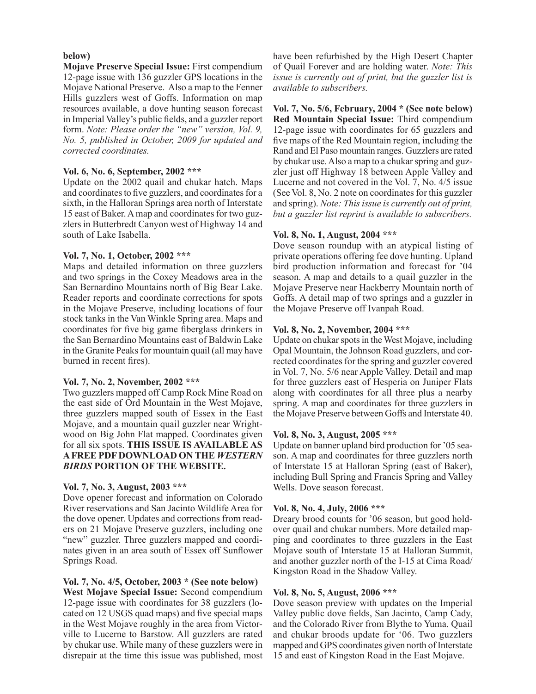#### **below)**

**Mojave Preserve Special Issue:** First compendium 12-page issue with 136 guzzler GPS locations in the Mojave National Preserve. Also a map to the Fenner Hills guzzlers west of Goffs. Information on map resources available, a dove hunting season forecast in Imperial Valley's public fields, and a guzzler report form. *Note: Please order the "new" version, Vol. 9, No. 5, published in October, 2009 for updated and corrected coordinates.*

#### **Vol. 6, No. 6, September, 2002 \*\*\***

Update on the 2002 quail and chukar hatch. Maps and coordinates to five guzzlers, and coordinates for a sixth, in the Halloran Springs area north of Interstate 15 east of Baker. A map and coordinates for two guzzlers in Butterbredt Canyon west of Highway 14 and south of Lake Isabella.

#### **Vol. 7, No. 1, October, 2002 \*\*\***

Maps and detailed information on three guzzlers and two springs in the Coxey Meadows area in the San Bernardino Mountains north of Big Bear Lake. Reader reports and coordinate corrections for spots in the Mojave Preserve, including locations of four stock tanks in the Van Winkle Spring area. Maps and coordinates for five big game fiberglass drinkers in the San Bernardino Mountains east of Baldwin Lake in the Granite Peaks for mountain quail (all may have burned in recent fires).

#### **Vol. 7, No. 2, November, 2002 \*\*\***

Two guzzlers mapped off Camp Rock Mine Road on the east side of Ord Mountain in the West Mojave, three guzzlers mapped south of Essex in the East Mojave, and a mountain quail guzzler near Wrightwood on Big John Flat mapped. Coordinates given for all six spots. **THIS ISSUE IS AVAILABLE AS A FREE PDF DOWNLOAD ON THE** *WESTERN BIRDS* **PORTION OF THE WEBSITE.**

# **Vol. 7, No. 3, August, 2003 \*\*\***

Dove opener forecast and information on Colorado River reservations and San Jacinto Wildlife Area for the dove opener. Updates and corrections from readers on 21 Mojave Preserve guzzlers, including one "new" guzzler. Three guzzlers mapped and coordinates given in an area south of Essex off Sunflower Springs Road.

# **Vol. 7, No. 4/5, October, 2003 \* (See note below)**

**West Mojave Special Issue:** Second compendium 12-page issue with coordinates for 38 guzzlers (located on 12 USGS quad maps) and five special maps in the West Mojave roughly in the area from Victorville to Lucerne to Barstow. All guzzlers are rated by chukar use. While many of these guzzlers were in disrepair at the time this issue was published, most have been refurbished by the High Desert Chapter of Quail Forever and are holding water. *Note: This issue is currently out of print, but the guzzler list is available to subscribers.*

**Vol. 7, No. 5/6, February, 2004 \* (See note below) Red Mountain Special Issue:** Third compendium 12-page issue with coordinates for 65 guzzlers and five maps of the Red Mountain region, including the Rand and El Paso mountain ranges. Guzzlers are rated by chukar use. Also a map to a chukar spring and guzzler just off Highway 18 between Apple Valley and Lucerne and not covered in the Vol. 7, No. 4/5 issue (See Vol. 8, No. 2 note on coordinates for this guzzler and spring). *Note: This issue is currently out of print, but a guzzler list reprint is available to subscribers.*

# **Vol. 8, No. 1, August, 2004 \*\*\***

Dove season roundup with an atypical listing of private operations offering fee dove hunting. Upland bird production information and forecast for '04 season. A map and details to a quail guzzler in the Mojave Preserve near Hackberry Mountain north of Goffs. A detail map of two springs and a guzzler in the Mojave Preserve off Ivanpah Road.

#### **Vol. 8, No. 2, November, 2004 \*\*\***

Update on chukar spots in the West Mojave, including Opal Mountain, the Johnson Road guzzlers, and corrected coordinates for the spring and guzzler covered in Vol. 7, No. 5/6 near Apple Valley. Detail and map for three guzzlers east of Hesperia on Juniper Flats along with coordinates for all three plus a nearby spring. A map and coordinates for three guzzlers in the Mojave Preserve between Goffs and Interstate 40.

# **Vol. 8, No. 3, August, 2005 \*\*\***

Update on banner upland bird production for '05 season. A map and coordinates for three guzzlers north of Interstate 15 at Halloran Spring (east of Baker), including Bull Spring and Francis Spring and Valley Wells. Dove season forecast.

# **Vol. 8, No. 4, July, 2006 \*\*\***

Dreary brood counts for '06 season, but good holdover quail and chukar numbers. More detailed mapping and coordinates to three guzzlers in the East Mojave south of Interstate 15 at Halloran Summit, and another guzzler north of the I-15 at Cima Road/ Kingston Road in the Shadow Valley.

# **Vol. 8, No. 5, August, 2006 \*\*\***

Dove season preview with updates on the Imperial Valley public dove fields, San Jacinto, Camp Cady, and the Colorado River from Blythe to Yuma. Quail and chukar broods update for '06. Two guzzlers mapped and GPS coordinates given north of Interstate 15 and east of Kingston Road in the East Mojave.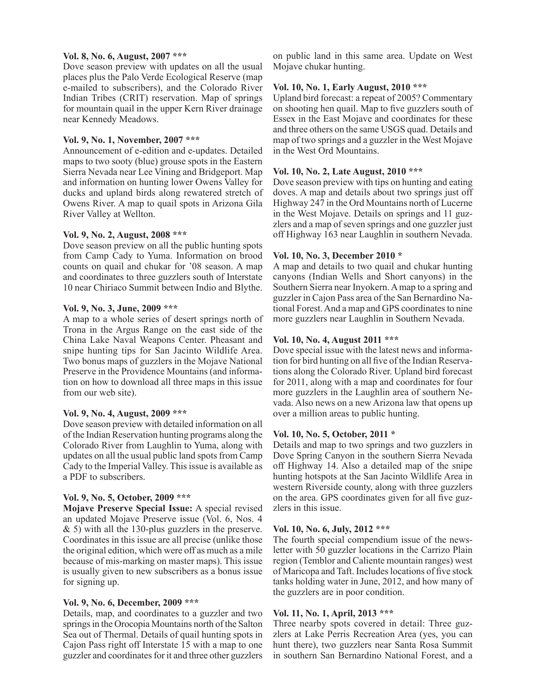#### **Vol. 8, No. 6, August, 2007 \*\*\***

Dove season preview with updates on all the usual places plus the Palo Verde Ecological Reserve (map e-mailed to subscribers), and the Colorado River Indian Tribes (CRIT) reservation. Map of springs for mountain quail in the upper Kern River drainage near Kennedy Meadows.

#### **Vol. 9, No. 1, November, 2007 \*\*\***

Announcement of e-edition and e-updates. Detailed maps to two sooty (blue) grouse spots in the Eastern Sierra Nevada near Lee Vining and Bridgeport. Map and information on hunting lower Owens Valley for ducks and upland birds along rewatered stretch of Owens River. A map to quail spots in Arizona Gila River Valley at Wellton.

#### **Vol. 9, No. 2, August, 2008 \*\*\***

Dove season preview on all the public hunting spots from Camp Cady to Yuma. Information on brood counts on quail and chukar for '08 season. A map and coordinates to three guzzlers south of Interstate 10 near Chiriaco Summit between Indio and Blythe.

#### **Vol. 9, No. 3, June, 2009 \*\*\***

A map to a whole series of desert springs north of Trona in the Argus Range on the east side of the China Lake Naval Weapons Center. Pheasant and snipe hunting tips for San Jacinto Wildlife Area. Two bonus maps of guzzlers in the Mojave National Preserve in the Providence Mountains (and information on how to download all three maps in this issue from our web site).

# **Vol. 9, No. 4, August, 2009 \*\*\***

Dove season preview with detailed information on all of the Indian Reservation hunting programs along the Colorado River from Laughlin to Yuma, along with updates on all the usual public land spots from Camp Cady to the Imperial Valley. This issue is available as a PDF to subscribers.

# **Vol. 9, No. 5, October, 2009 \*\*\***

**Mojave Preserve Special Issue:** A special revised an updated Mojave Preserve issue (Vol. 6, Nos. 4 & 5) with all the 130-plus guzzlers in the preserve. Coordinates in this issue are all precise (unlike those the original edition, which were off as much as a mile because of mis-marking on master maps). This issue is usually given to new subscribers as a bonus issue for signing up.

# **Vol. 9, No. 6, December, 2009 \*\*\***

Details, map, and coordinates to a guzzler and two springs in the Orocopia Mountains north of the Salton Sea out of Thermal. Details of quail hunting spots in Cajon Pass right off Interstate 15 with a map to one guzzler and coordinates for it and three other guzzlers

on public land in this same area. Update on West Mojave chukar hunting.

# **Vol. 10, No. 1, Early August, 2010 \*\*\***

Upland bird forecast: a repeat of 2005? Commentary on shooting hen quail. Map to five guzzlers south of Essex in the East Mojave and coordinates for these and three others on the same USGS quad. Details and map of two springs and a guzzler in the West Mojave in the West Ord Mountains.

# **Vol. 10, No. 2, Late August, 2010 \*\*\***

Dove season preview with tips on hunting and eating doves. A map and details about two springs just off Highway 247 in the Ord Mountains north of Lucerne in the West Mojave. Details on springs and 11 guzzlers and a map of seven springs and one guzzler just off Highway 163 near Laughlin in southern Nevada.

#### **Vol. 10, No. 3, December 2010 \***

A map and details to two quail and chukar hunting canyons (Indian Wells and Short canyons) in the Southern Sierra near Inyokern. A map to a spring and guzzler in Cajon Pass area of the San Bernardino National Forest. And a map and GPS coordinates to nine more guzzlers near Laughlin in Southern Nevada.

#### **Vol. 10, No. 4, August 2011 \*\*\***

Dove special issue with the latest news and information for bird hunting on all five of the Indian Reservations along the Colorado River. Upland bird forecast for 2011, along with a map and coordinates for four more guzzlers in the Laughlin area of southern Nevada. Also news on a new Arizona law that opens up over a million areas to public hunting.

# **Vol. 10, No. 5, October, 2011 \***

Details and map to two springs and two guzzlers in Dove Spring Canyon in the southern Sierra Nevada off Highway 14. Also a detailed map of the snipe hunting hotspots at the San Jacinto Wildlife Area in western Riverside county, along with three guzzlers on the area. GPS coordinates given for all five guzzlers in this issue.

# **Vol. 10, No. 6, July, 2012 \*\*\***

The fourth special compendium issue of the newsletter with 50 guzzler locations in the Carrizo Plain region (Temblor and Caliente mountain ranges) west of Maricopa and Taft. Includes locations of five stock tanks holding water in June, 2012, and how many of the guzzlers are in poor condition.

# **Vol. 11, No. 1, April, 2013 \*\*\***

Three nearby spots covered in detail: Three guzzlers at Lake Perris Recreation Area (yes, you can hunt there), two guzzlers near Santa Rosa Summit in southern San Bernardino National Forest, and a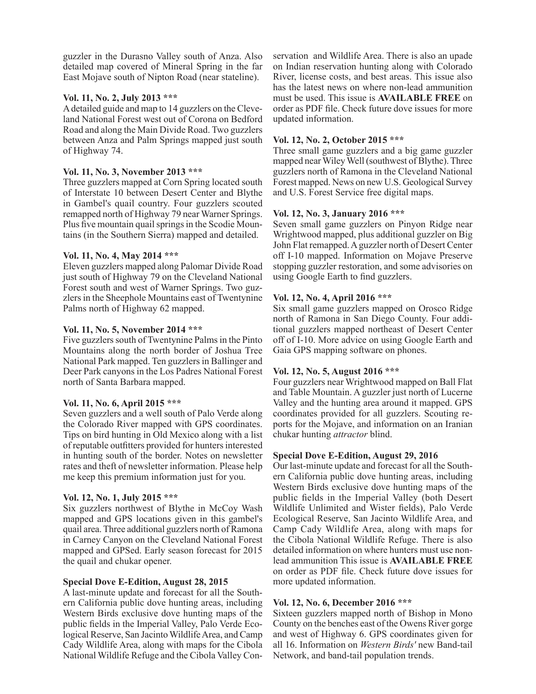guzzler in the Durasno Valley south of Anza. Also detailed map covered of Mineral Spring in the far East Mojave south of Nipton Road (near stateline).

# **Vol. 11, No. 2, July 2013 \*\*\***

A detailed guide and map to 14 guzzlers on the Cleveland National Forest west out of Corona on Bedford Road and along the Main Divide Road. Two guzzlers between Anza and Palm Springs mapped just south of Highway 74.

# **Vol. 11, No. 3, November 2013 \*\*\***

Three guzzlers mapped at Corn Spring located south of Interstate 10 between Desert Center and Blythe in Gambel's quail country. Four guzzlers scouted remapped north of Highway 79 near Warner Springs. Plus five mountain quail springs in the Scodie Mountains (in the Southern Sierra) mapped and detailed.

# **Vol. 11, No. 4, May 2014 \*\*\***

Eleven guzzlers mapped along Palomar Divide Road just south of Highway 79 on the Cleveland National Forest south and west of Warner Springs. Two guzzlers in the Sheephole Mountains east of Twentynine Palms north of Highway 62 mapped.

#### **Vol. 11, No. 5, November 2014 \*\*\***

Five guzzlers south of Twentynine Palms in the Pinto Mountains along the north border of Joshua Tree National Park mapped. Ten guzzlers in Ballinger and Deer Park canyons in the Los Padres National Forest north of Santa Barbara mapped.

# **Vol. 11, No. 6, April 2015 \*\*\***

Seven guzzlers and a well south of Palo Verde along the Colorado River mapped with GPS coordinates. Tips on bird hunting in Old Mexico along with a list of reputable outfitters provided for hunters interested in hunting south of the border. Notes on newsletter rates and theft of newsletter information. Please help me keep this premium information just for you.

# **Vol. 12, No. 1, July 2015 \*\*\***

Six guzzlers northwest of Blythe in McCoy Wash mapped and GPS locations given in this gambel's quail area. Three additional guzzlers north of Ramona in Carney Canyon on the Cleveland National Forest mapped and GPSed. Early season forecast for 2015 the quail and chukar opener.

#### **Special Dove E-Edition, August 28, 2015**

A last-minute update and forecast for all the Southern California public dove hunting areas, including Western Birds exclusive dove hunting maps of the public fields in the Imperial Valley, Palo Verde Ecological Reserve, San Jacinto Wildlife Area, and Camp Cady Wildlife Area, along with maps for the Cibola National Wildlife Refuge and the Cibola Valley Conservation and Wildlife Area. There is also an upade on Indian reservation hunting along with Colorado River, license costs, and best areas. This issue also has the latest news on where non-lead ammunition must be used. This issue is **AVAILABLE FREE** on order as PDF file. Check future dove issues for more updated information.

#### **Vol. 12, No. 2, October 2015 \*\*\***

Three small game guzzlers and a big game guzzler mapped near Wiley Well (southwest of Blythe). Three guzzlers north of Ramona in the Cleveland National Forest mapped. News on new U.S. Geological Survey and U.S. Forest Service free digital maps.

#### **Vol. 12, No. 3, January 2016 \*\*\***

Seven small game guzzlers on Pinyon Ridge near Wrightwood mapped, plus additional guzzler on Big John Flat remapped. A guzzler north of Desert Center off I-10 mapped. Information on Mojave Preserve stopping guzzler restoration, and some advisories on using Google Earth to find guzzlers.

#### **Vol. 12, No. 4, April 2016 \*\*\***

Six small game guzzlers mapped on Orosco Ridge north of Ramona in San Diego County. Four additional guzzlers mapped northeast of Desert Center off of I-10. More advice on using Google Earth and Gaia GPS mapping software on phones.

# **Vol. 12, No. 5, August 2016 \*\*\***

Four guzzlers near Wrightwood mapped on Ball Flat and Table Mountain. A guzzler just north of Lucerne Valley and the hunting area around it mapped. GPS coordinates provided for all guzzlers. Scouting reports for the Mojave, and information on an Iranian chukar hunting *attractor* blind.

#### **Special Dove E-Edition, August 29, 2016**

Our last-minute update and forecast for all the Southern California public dove hunting areas, including Western Birds exclusive dove hunting maps of the public fields in the Imperial Valley (both Desert Wildlife Unlimited and Wister fields), Palo Verde Ecological Reserve, San Jacinto Wildlife Area, and Camp Cady Wildlife Area, along with maps for the Cibola National Wildlife Refuge. There is also detailed information on where hunters must use nonlead ammunition This issue is **AVAILABLE FREE**  on order as PDF file. Check future dove issues for more updated information.

# **Vol. 12, No. 6, December 2016 \*\*\***

Sixteen guzzlers mapped north of Bishop in Mono County on the benches east of the Owens River gorge and west of Highway 6. GPS coordinates given for all 16. Information on *Western Birds'* new Band-tail Network, and band-tail population trends.